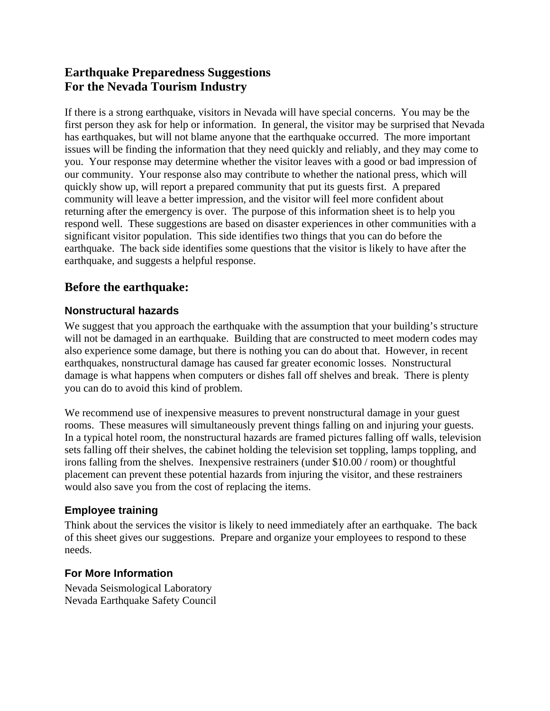# **Earthquake Preparedness Suggestions For the Nevada Tourism Industry**

If there is a strong earthquake, visitors in Nevada will have special concerns. You may be the first person they ask for help or information. In general, the visitor may be surprised that Nevada has earthquakes, but will not blame anyone that the earthquake occurred. The more important issues will be finding the information that they need quickly and reliably, and they may come to you. Your response may determine whether the visitor leaves with a good or bad impression of our community. Your response also may contribute to whether the national press, which will quickly show up, will report a prepared community that put its guests first. A prepared community will leave a better impression, and the visitor will feel more confident about returning after the emergency is over. The purpose of this information sheet is to help you respond well. These suggestions are based on disaster experiences in other communities with a significant visitor population. This side identifies two things that you can do before the earthquake. The back side identifies some questions that the visitor is likely to have after the earthquake, and suggests a helpful response.

## **Before the earthquake:**

## **Nonstructural hazards**

We suggest that you approach the earthquake with the assumption that your building's structure will not be damaged in an earthquake. Building that are constructed to meet modern codes may also experience some damage, but there is nothing you can do about that. However, in recent earthquakes, nonstructural damage has caused far greater economic losses. Nonstructural damage is what happens when computers or dishes fall off shelves and break. There is plenty you can do to avoid this kind of problem.

We recommend use of inexpensive measures to prevent nonstructural damage in your guest rooms. These measures will simultaneously prevent things falling on and injuring your guests. In a typical hotel room, the nonstructural hazards are framed pictures falling off walls, television sets falling off their shelves, the cabinet holding the television set toppling, lamps toppling, and irons falling from the shelves. Inexpensive restrainers (under \$10.00 / room) or thoughtful placement can prevent these potential hazards from injuring the visitor, and these restrainers would also save you from the cost of replacing the items.

## **Employee training**

Think about the services the visitor is likely to need immediately after an earthquake. The back of this sheet gives our suggestions. Prepare and organize your employees to respond to these needs.

## **For More Information**

Nevada Seismological Laboratory Nevada Earthquake Safety Council